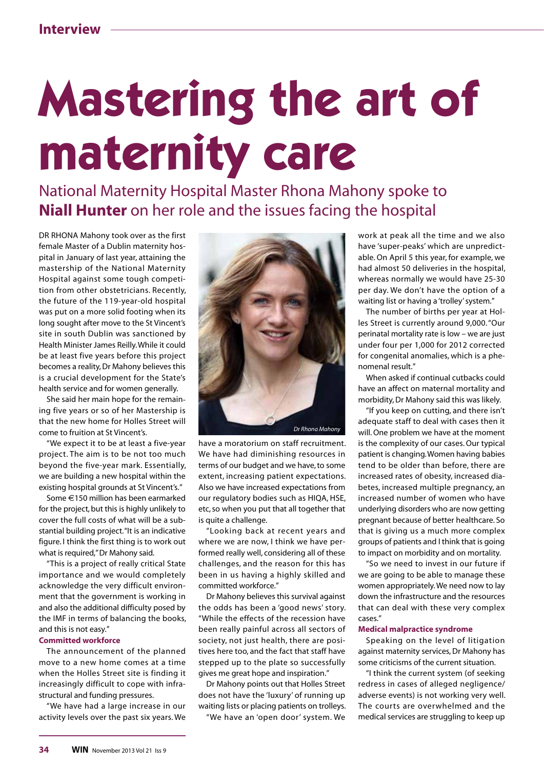# **Mastering the art of maternity care**

National Maternity Hospital Master Rhona Mahony spoke to **Niall Hunter** on her role and the issues facing the hospital

DR RHONA Mahony took over as the first female Master of a Dublin maternity hospital in January of last year, attaining the mastership of the National Maternity Hospital against some tough competition from other obstetricians. Recently, the future of the 119-year-old hospital was put on a more solid footing when its long sought after move to the St Vincent's site in south Dublin was sanctioned by Health Minister James Reilly. While it could be at least five years before this project becomes a reality, Dr Mahony believes this is a crucial development for the State's health service and for women generally.

She said her main hope for the remaining five years or so of her Mastership is that the new home for Holles Street will come to fruition at St Vincent's.

"We expect it to be at least a five-year project. The aim is to be not too much beyond the five-year mark. Essentially, we are building a new hospital within the existing hospital grounds at St Vincent's."

Some E150 million has been earmarked for the project, but this is highly unlikely to cover the full costs of what will be a substantial building project. "It is an indicative figure. I think the first thing is to work out what is required," Dr Mahony said.

"This is a project of really critical State importance and we would completely acknowledge the very difficult environment that the government is working in and also the additional difficulty posed by the IMF in terms of balancing the books, and this is not easy."

### **Committed workforce**

The announcement of the planned move to a new home comes at a time when the Holles Street site is finding it increasingly difficult to cope with infrastructural and funding pressures.

"We have had a large increase in our activity levels over the past six years. We



have a moratorium on staff recruitment. We have had diminishing resources in terms of our budget and we have, to some extent, increasing patient expectations. Also we have increased expectations from our regulatory bodies such as HIQA, HSE, etc, so when you put that all together that is quite a challenge.

"Looking back at recent years and where we are now, I think we have performed really well, considering all of these challenges, and the reason for this has been in us having a highly skilled and committed workforce."

Dr Mahony believes this survival against the odds has been a 'good news' story. "While the effects of the recession have been really painful across all sectors of society, not just health, there are positives here too, and the fact that staff have stepped up to the plate so successfully gives me great hope and inspiration."

Dr Mahony points out that Holles Street does not have the 'luxury' of running up waiting lists or placing patients on trolleys.

"We have an 'open door' system. We

work at peak all the time and we also have 'super-peaks' which are unpredictable. On April 5 this year, for example, we had almost 50 deliveries in the hospital, whereas normally we would have 25-30 per day. We don't have the option of a waiting list or having a 'trolley' system."

The number of births per year at Holles Street is currently around 9,000. "Our perinatal mortality rate is low – we are just under four per 1,000 for 2012 corrected for congenital anomalies, which is a phenomenal result."

When asked if continual cutbacks could have an affect on maternal mortality and morbidity, Dr Mahony said this was likely.

"If you keep on cutting, and there isn't adequate staff to deal with cases then it will. One problem we have at the moment is the complexity of our cases. Our typical patient is changing. Women having babies tend to be older than before, there are increased rates of obesity, increased diabetes, increased multiple pregnancy, an increased number of women who have underlying disorders who are now getting pregnant because of better healthcare. So that is giving us a much more complex groups of patients and I think that is going to impact on morbidity and on mortality.

"So we need to invest in our future if we are going to be able to manage these women appropriately. We need now to lay down the infrastructure and the resources that can deal with these very complex cases."

# **Medical malpractice syndrome**

Speaking on the level of litigation against maternity services, Dr Mahony has some criticisms of the current situation.

"I think the current system (of seeking redress in cases of alleged negligence/ adverse events) is not working very well. The courts are overwhelmed and the medical services are struggling to keep up